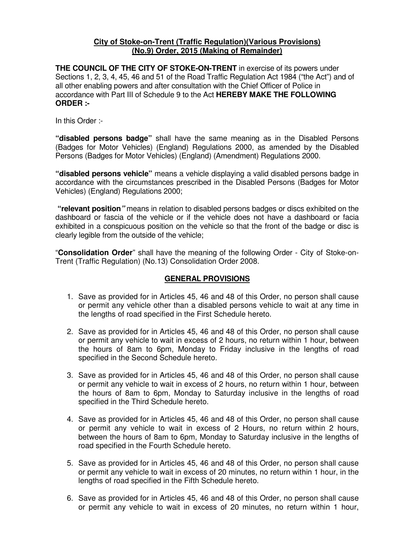#### **City of Stoke-on-Trent (Traffic Regulation)(Various Provisions) (No.9) Order, 2015 (Making of Remainder)**

**THE COUNCIL OF THE CITY OF STOKE-ON-TRENT** in exercise of its powers under Sections 1, 2, 3, 4, 45, 46 and 51 of the Road Traffic Regulation Act 1984 ("the Act") and of all other enabling powers and after consultation with the Chief Officer of Police in accordance with Part III of Schedule 9 to the Act **HEREBY MAKE THE FOLLOWING ORDER :-** 

In this Order :-

**"disabled persons badge"** shall have the same meaning as in the Disabled Persons (Badges for Motor Vehicles) (England) Regulations 2000, as amended by the Disabled Persons (Badges for Motor Vehicles) (England) (Amendment) Regulations 2000.

**"disabled persons vehicle"** means a vehicle displaying a valid disabled persons badge in accordance with the circumstances prescribed in the Disabled Persons (Badges for Motor Vehicles) (England) Regulations 2000;

 **"relevant position"** means in relation to disabled persons badges or discs exhibited on the dashboard or fascia of the vehicle or if the vehicle does not have a dashboard or facia exhibited in a conspicuous position on the vehicle so that the front of the badge or disc is clearly legible from the outside of the vehicle;

"**Consolidation Order**" shall have the meaning of the following Order - City of Stoke-on-Trent (Traffic Regulation) (No.13) Consolidation Order 2008.

#### **GENERAL PROVISIONS**

- 1. Save as provided for in Articles 45, 46 and 48 of this Order, no person shall cause or permit any vehicle other than a disabled persons vehicle to wait at any time in the lengths of road specified in the First Schedule hereto.
- 2. Save as provided for in Articles 45, 46 and 48 of this Order, no person shall cause or permit any vehicle to wait in excess of 2 hours, no return within 1 hour, between the hours of 8am to 6pm, Monday to Friday inclusive in the lengths of road specified in the Second Schedule hereto.
- 3. Save as provided for in Articles 45, 46 and 48 of this Order, no person shall cause or permit any vehicle to wait in excess of 2 hours, no return within 1 hour, between the hours of 8am to 6pm, Monday to Saturday inclusive in the lengths of road specified in the Third Schedule hereto.
- 4. Save as provided for in Articles 45, 46 and 48 of this Order, no person shall cause or permit any vehicle to wait in excess of 2 Hours, no return within 2 hours, between the hours of 8am to 6pm, Monday to Saturday inclusive in the lengths of road specified in the Fourth Schedule hereto.
- 5. Save as provided for in Articles 45, 46 and 48 of this Order, no person shall cause or permit any vehicle to wait in excess of 20 minutes, no return within 1 hour, in the lengths of road specified in the Fifth Schedule hereto.
- 6. Save as provided for in Articles 45, 46 and 48 of this Order, no person shall cause or permit any vehicle to wait in excess of 20 minutes, no return within 1 hour,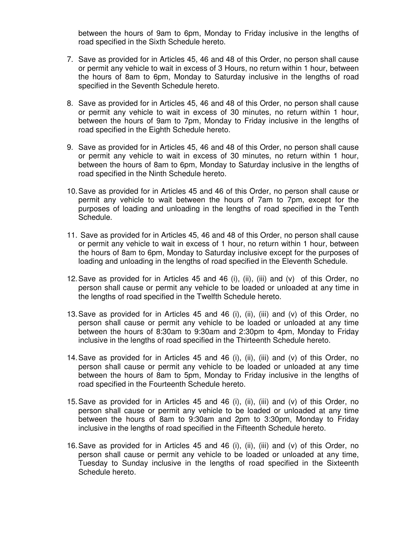between the hours of 9am to 6pm, Monday to Friday inclusive in the lengths of road specified in the Sixth Schedule hereto.

- 7. Save as provided for in Articles 45, 46 and 48 of this Order, no person shall cause or permit any vehicle to wait in excess of 3 Hours, no return within 1 hour, between the hours of 8am to 6pm, Monday to Saturday inclusive in the lengths of road specified in the Seventh Schedule hereto.
- 8. Save as provided for in Articles 45, 46 and 48 of this Order, no person shall cause or permit any vehicle to wait in excess of 30 minutes, no return within 1 hour, between the hours of 9am to 7pm, Monday to Friday inclusive in the lengths of road specified in the Eighth Schedule hereto.
- 9. Save as provided for in Articles 45, 46 and 48 of this Order, no person shall cause or permit any vehicle to wait in excess of 30 minutes, no return within 1 hour, between the hours of 8am to 6pm, Monday to Saturday inclusive in the lengths of road specified in the Ninth Schedule hereto.
- 10. Save as provided for in Articles 45 and 46 of this Order, no person shall cause or permit any vehicle to wait between the hours of 7am to 7pm, except for the purposes of loading and unloading in the lengths of road specified in the Tenth Schedule.
- 11. Save as provided for in Articles 45, 46 and 48 of this Order, no person shall cause or permit any vehicle to wait in excess of 1 hour, no return within 1 hour, between the hours of 8am to 6pm, Monday to Saturday inclusive except for the purposes of loading and unloading in the lengths of road specified in the Eleventh Schedule.
- 12. Save as provided for in Articles 45 and 46 (i), (ii), (iii) and  $(v)$  of this Order, no person shall cause or permit any vehicle to be loaded or unloaded at any time in the lengths of road specified in the Twelfth Schedule hereto.
- 13. Save as provided for in Articles 45 and 46 (i), (ii), (iii) and (v) of this Order, no person shall cause or permit any vehicle to be loaded or unloaded at any time between the hours of 8:30am to 9:30am and 2:30pm to 4pm, Monday to Friday inclusive in the lengths of road specified in the Thirteenth Schedule hereto.
- 14. Save as provided for in Articles 45 and 46 (i), (ii), (iii) and (v) of this Order, no person shall cause or permit any vehicle to be loaded or unloaded at any time between the hours of 8am to 5pm, Monday to Friday inclusive in the lengths of road specified in the Fourteenth Schedule hereto.
- 15. Save as provided for in Articles 45 and 46 (i), (ii), (iii) and (v) of this Order, no person shall cause or permit any vehicle to be loaded or unloaded at any time between the hours of 8am to 9:30am and 2pm to 3:30pm, Monday to Friday inclusive in the lengths of road specified in the Fifteenth Schedule hereto.
- 16. Save as provided for in Articles 45 and 46 (i), (ii), (iii) and (v) of this Order, no person shall cause or permit any vehicle to be loaded or unloaded at any time, Tuesday to Sunday inclusive in the lengths of road specified in the Sixteenth Schedule hereto.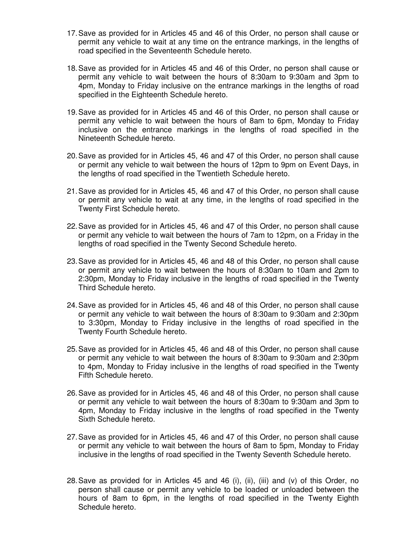- 17. Save as provided for in Articles 45 and 46 of this Order, no person shall cause or permit any vehicle to wait at any time on the entrance markings, in the lengths of road specified in the Seventeenth Schedule hereto.
- 18. Save as provided for in Articles 45 and 46 of this Order, no person shall cause or permit any vehicle to wait between the hours of 8:30am to 9:30am and 3pm to 4pm, Monday to Friday inclusive on the entrance markings in the lengths of road specified in the Eighteenth Schedule hereto.
- 19. Save as provided for in Articles 45 and 46 of this Order, no person shall cause or permit any vehicle to wait between the hours of 8am to 6pm, Monday to Friday inclusive on the entrance markings in the lengths of road specified in the Nineteenth Schedule hereto.
- 20. Save as provided for in Articles 45, 46 and 47 of this Order, no person shall cause or permit any vehicle to wait between the hours of 12pm to 9pm on Event Days, in the lengths of road specified in the Twentieth Schedule hereto.
- 21. Save as provided for in Articles 45, 46 and 47 of this Order, no person shall cause or permit any vehicle to wait at any time, in the lengths of road specified in the Twenty First Schedule hereto.
- 22. Save as provided for in Articles 45, 46 and 47 of this Order, no person shall cause or permit any vehicle to wait between the hours of 7am to 12pm, on a Friday in the lengths of road specified in the Twenty Second Schedule hereto.
- 23. Save as provided for in Articles 45, 46 and 48 of this Order, no person shall cause or permit any vehicle to wait between the hours of 8:30am to 10am and 2pm to 2:30pm, Monday to Friday inclusive in the lengths of road specified in the Twenty Third Schedule hereto.
- 24. Save as provided for in Articles 45, 46 and 48 of this Order, no person shall cause or permit any vehicle to wait between the hours of 8:30am to 9:30am and 2:30pm to 3:30pm, Monday to Friday inclusive in the lengths of road specified in the Twenty Fourth Schedule hereto.
- 25. Save as provided for in Articles 45, 46 and 48 of this Order, no person shall cause or permit any vehicle to wait between the hours of 8:30am to 9:30am and 2:30pm to 4pm, Monday to Friday inclusive in the lengths of road specified in the Twenty Fifth Schedule hereto.
- 26. Save as provided for in Articles 45, 46 and 48 of this Order, no person shall cause or permit any vehicle to wait between the hours of 8:30am to 9:30am and 3pm to 4pm, Monday to Friday inclusive in the lengths of road specified in the Twenty Sixth Schedule hereto.
- 27. Save as provided for in Articles 45, 46 and 47 of this Order, no person shall cause or permit any vehicle to wait between the hours of 8am to 5pm, Monday to Friday inclusive in the lengths of road specified in the Twenty Seventh Schedule hereto.
- 28. Save as provided for in Articles 45 and 46 (i), (ii), (iii) and (v) of this Order, no person shall cause or permit any vehicle to be loaded or unloaded between the hours of 8am to 6pm, in the lengths of road specified in the Twenty Eighth Schedule hereto.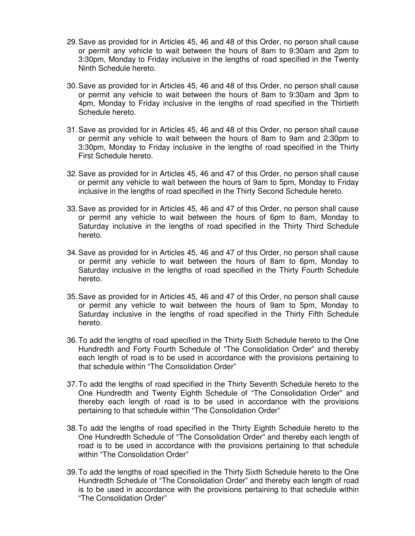- 29. Save as provided for in Articles 45, 46 and 48 of this Order, no person shall cause or permit any vehicle to wait between the hours of 8am to 9:30am and 2pm to 3:30pm, Monday to Friday inclusive in the lengths of road specified in the Twenty Ninth Schedule hereto.
- 30. Save as provided for in Articles 45, 46 and 48 of this Order, no person shall cause or permit any vehicle to wait between the hours of 8am to 9:30am and 3pm to 4pm, Monday to Friday inclusive in the lengths of road specified in the Thirtieth Schedule hereto.
- 31. Save as provided for in Articles 45, 46 and 48 of this Order, no person shall cause or permit any vehicle to wait between the hours of 8am to 9am and 2:30pm to 3:30pm, Monday to Friday inclusive in the lengths of road specified in the Thirty First Schedule hereto.
- 32. Save as provided for in Articles 45, 46 and 47 of this Order, no person shall cause or permit any vehicle to wait between the hours of 9am to 5pm, Monday to Friday inclusive in the lengths of road specified in the Thirty Second Schedule hereto.
- 33. Save as provided for in Articles 45, 46 and 47 of this Order, no person shall cause or permit any vehicle to wait between the hours of 6pm to 8am, Monday to Saturday inclusive in the lengths of road specified in the Thirty Third Schedule hereto.
- 34. Save as provided for in Articles 45, 46 and 47 of this Order, no person shall cause or permit any vehicle to wait between the hours of 8am to 6pm, Monday to Saturday inclusive in the lengths of road specified in the Thirty Fourth Schedule hereto.
- 35. Save as provided for in Articles 45, 46 and 47 of this Order, no person shall cause or permit any vehicle to wait between the hours of 9am to 5pm, Monday to Saturday inclusive in the lengths of road specified in the Thirty Fifth Schedule hereto.
- 36. To add the lengths of road specified in the Thirty Sixth Schedule hereto to the One Hundredth and Forty Fourth Schedule of "The Consolidation Order" and thereby each length of road is to be used in accordance with the provisions pertaining to that schedule within "The Consolidation Order"
- 37. To add the lengths of road specified in the Thirty Seventh Schedule hereto to the One Hundredth and Twenty Eighth Schedule of "The Consolidation Order" and thereby each length of road is to be used in accordance with the provisions pertaining to that schedule within "The Consolidation Order"
- 38. To add the lengths of road specified in the Thirty Eighth Schedule hereto to the One Hundredth Schedule of "The Consolidation Order" and thereby each length of road is to be used in accordance with the provisions pertaining to that schedule within "The Consolidation Order"
- 39. To add the lengths of road specified in the Thirty Sixth Schedule hereto to the One Hundredth Schedule of "The Consolidation Order" and thereby each length of road is to be used in accordance with the provisions pertaining to that schedule within "The Consolidation Order"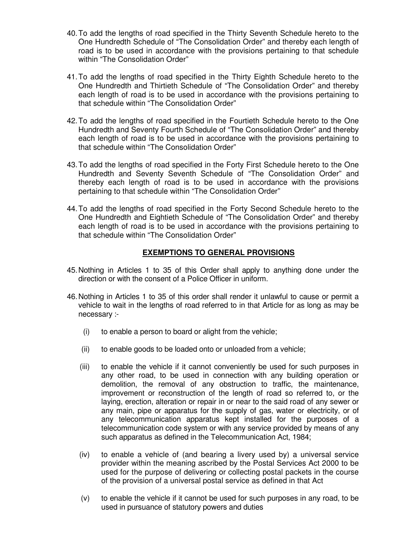- 40. To add the lengths of road specified in the Thirty Seventh Schedule hereto to the One Hundredth Schedule of "The Consolidation Order" and thereby each length of road is to be used in accordance with the provisions pertaining to that schedule within "The Consolidation Order"
- 41. To add the lengths of road specified in the Thirty Eighth Schedule hereto to the One Hundredth and Thirtieth Schedule of "The Consolidation Order" and thereby each length of road is to be used in accordance with the provisions pertaining to that schedule within "The Consolidation Order"
- 42. To add the lengths of road specified in the Fourtieth Schedule hereto to the One Hundredth and Seventy Fourth Schedule of "The Consolidation Order" and thereby each length of road is to be used in accordance with the provisions pertaining to that schedule within "The Consolidation Order"
- 43. To add the lengths of road specified in the Forty First Schedule hereto to the One Hundredth and Seventy Seventh Schedule of "The Consolidation Order" and thereby each length of road is to be used in accordance with the provisions pertaining to that schedule within "The Consolidation Order"
- 44. To add the lengths of road specified in the Forty Second Schedule hereto to the One Hundredth and Eightieth Schedule of "The Consolidation Order" and thereby each length of road is to be used in accordance with the provisions pertaining to that schedule within "The Consolidation Order"

#### **EXEMPTIONS TO GENERAL PROVISIONS**

- 45. Nothing in Articles 1 to 35 of this Order shall apply to anything done under the direction or with the consent of a Police Officer in uniform.
- 46. Nothing in Articles 1 to 35 of this order shall render it unlawful to cause or permit a vehicle to wait in the lengths of road referred to in that Article for as long as may be necessary :-
	- (i) to enable a person to board or alight from the vehicle;
	- (ii) to enable goods to be loaded onto or unloaded from a vehicle;
	- (iii) to enable the vehicle if it cannot conveniently be used for such purposes in any other road, to be used in connection with any building operation or demolition, the removal of any obstruction to traffic, the maintenance, improvement or reconstruction of the length of road so referred to, or the laying, erection, alteration or repair in or near to the said road of any sewer or any main, pipe or apparatus for the supply of gas, water or electricity, or of any telecommunication apparatus kept installed for the purposes of a telecommunication code system or with any service provided by means of any such apparatus as defined in the Telecommunication Act, 1984;
	- (iv) to enable a vehicle of (and bearing a livery used by) a universal service provider within the meaning ascribed by the Postal Services Act 2000 to be used for the purpose of delivering or collecting postal packets in the course of the provision of a universal postal service as defined in that Act
	- (v) to enable the vehicle if it cannot be used for such purposes in any road, to be used in pursuance of statutory powers and duties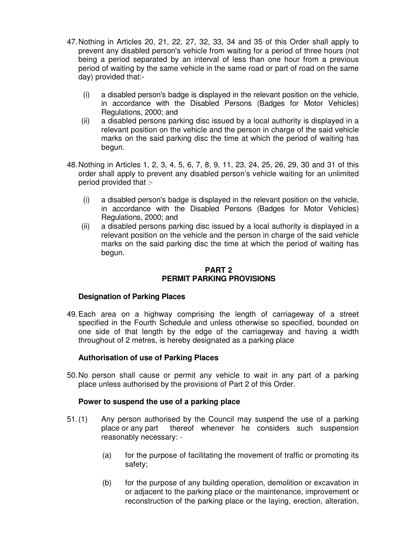- 47. Nothing in Articles 20, 21, 22, 27, 32, 33, 34 and 35 of this Order shall apply to prevent any disabled person's vehicle from waiting for a period of three hours (not being a period separated by an interval of less than one hour from a previous period of waiting by the same vehicle in the same road or part of road on the same day) provided that:-
	- (i) a disabled person's badge is displayed in the relevant position on the vehicle, in accordance with the Disabled Persons (Badges for Motor Vehicles) Regulations, 2000; and
	- (ii) a disabled persons parking disc issued by a local authority is displayed in a relevant position on the vehicle and the person in charge of the said vehicle marks on the said parking disc the time at which the period of waiting has begun.
- 48. Nothing in Articles 1, 2, 3, 4, 5, 6, 7, 8, 9, 11, 23, 24, 25, 26, 29, 30 and 31 of this order shall apply to prevent any disabled person's vehicle waiting for an unlimited period provided that :-
	- (i) a disabled person's badge is displayed in the relevant position on the vehicle, in accordance with the Disabled Persons (Badges for Motor Vehicles) Regulations, 2000; and
	- (ii) a disabled persons parking disc issued by a local authority is displayed in a relevant position on the vehicle and the person in charge of the said vehicle marks on the said parking disc the time at which the period of waiting has begun.

#### **PART 2 PERMIT PARKING PROVISIONS**

#### **Designation of Parking Places**

49. Each area on a highway comprising the length of carriageway of a street specified in the Fourth Schedule and unless otherwise so specified, bounded on one side of that length by the edge of the carriageway and having a width throughout of 2 metres, is hereby designated as a parking place

#### **Authorisation of use of Parking Places**

50. No person shall cause or permit any vehicle to wait in any part of a parking place unless authorised by the provisions of Part 2 of this Order.

#### **Power to suspend the use of a parking place**

- 51. (1) Any person authorised by the Council may suspend the use of a parking place or any part thereof whenever he considers such suspension reasonably necessary: -
	- (a) for the purpose of facilitating the movement of traffic or promoting its safety;
	- (b) for the purpose of any building operation, demolition or excavation in or adjacent to the parking place or the maintenance, improvement or reconstruction of the parking place or the laying, erection, alteration,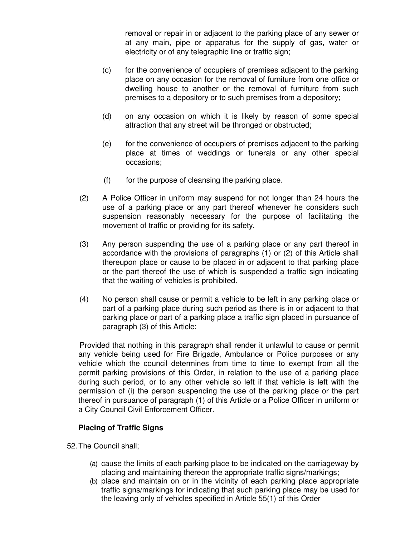removal or repair in or adjacent to the parking place of any sewer or at any main, pipe or apparatus for the supply of gas, water or electricity or of any telegraphic line or traffic sign;

- (c) for the convenience of occupiers of premises adjacent to the parking place on any occasion for the removal of furniture from one office or dwelling house to another or the removal of furniture from such premises to a depository or to such premises from a depository;
- (d) on any occasion on which it is likely by reason of some special attraction that any street will be thronged or obstructed;
- (e) for the convenience of occupiers of premises adjacent to the parking place at times of weddings or funerals or any other special occasions;
- $(f)$  for the purpose of cleansing the parking place.
- (2) A Police Officer in uniform may suspend for not longer than 24 hours the use of a parking place or any part thereof whenever he considers such suspension reasonably necessary for the purpose of facilitating the movement of traffic or providing for its safety.
- (3) Any person suspending the use of a parking place or any part thereof in accordance with the provisions of paragraphs (1) or (2) of this Article shall thereupon place or cause to be placed in or adjacent to that parking place or the part thereof the use of which is suspended a traffic sign indicating that the waiting of vehicles is prohibited.
- (4) No person shall cause or permit a vehicle to be left in any parking place or part of a parking place during such period as there is in or adjacent to that parking place or part of a parking place a traffic sign placed in pursuance of paragraph (3) of this Article;

 Provided that nothing in this paragraph shall render it unlawful to cause or permit any vehicle being used for Fire Brigade, Ambulance or Police purposes or any vehicle which the council determines from time to time to exempt from all the permit parking provisions of this Order, in relation to the use of a parking place during such period, or to any other vehicle so left if that vehicle is left with the permission of (i) the person suspending the use of the parking place or the part thereof in pursuance of paragraph (1) of this Article or a Police Officer in uniform or a City Council Civil Enforcement Officer.

#### **Placing of Traffic Signs**

52. The Council shall;

- (a) cause the limits of each parking place to be indicated on the carriageway by placing and maintaining thereon the appropriate traffic signs/markings;
- (b) place and maintain on or in the vicinity of each parking place appropriate traffic signs/markings for indicating that such parking place may be used for the leaving only of vehicles specified in Article 55(1) of this Order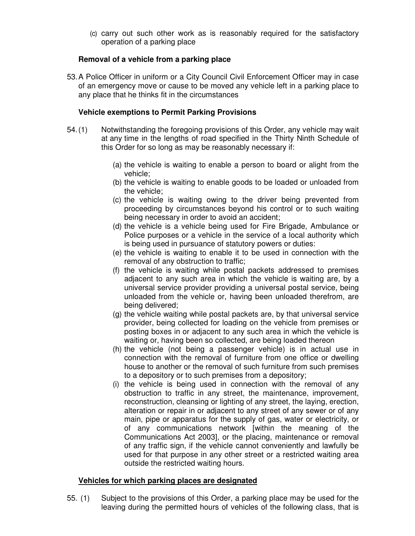(c) carry out such other work as is reasonably required for the satisfactory operation of a parking place

#### **Removal of a vehicle from a parking place**

53. A Police Officer in uniform or a City Council Civil Enforcement Officer may in case of an emergency move or cause to be moved any vehicle left in a parking place to any place that he thinks fit in the circumstances

#### **Vehicle exemptions to Permit Parking Provisions**

- 54. (1) Notwithstanding the foregoing provisions of this Order, any vehicle may wait at any time in the lengths of road specified in the Thirty Ninth Schedule of this Order for so long as may be reasonably necessary if:
	- (a) the vehicle is waiting to enable a person to board or alight from the vehicle;
	- (b) the vehicle is waiting to enable goods to be loaded or unloaded from the vehicle;
	- (c) the vehicle is waiting owing to the driver being prevented from proceeding by circumstances beyond his control or to such waiting being necessary in order to avoid an accident;
	- (d) the vehicle is a vehicle being used for Fire Brigade, Ambulance or Police purposes or a vehicle in the service of a local authority which is being used in pursuance of statutory powers or duties:
	- (e) the vehicle is waiting to enable it to be used in connection with the removal of any obstruction to traffic;
	- (f) the vehicle is waiting while postal packets addressed to premises adjacent to any such area in which the vehicle is waiting are, by a universal service provider providing a universal postal service, being unloaded from the vehicle or, having been unloaded therefrom, are being delivered;
	- (g) the vehicle waiting while postal packets are, by that universal service provider, being collected for loading on the vehicle from premises or posting boxes in or adjacent to any such area in which the vehicle is waiting or, having been so collected, are being loaded thereon
	- (h) the vehicle (not being a passenger vehicle) is in actual use in connection with the removal of furniture from one office or dwelling house to another or the removal of such furniture from such premises to a depository or to such premises from a depository;
	- (i) the vehicle is being used in connection with the removal of any obstruction to traffic in any street, the maintenance, improvement, reconstruction, cleansing or lighting of any street, the laying, erection, alteration or repair in or adjacent to any street of any sewer or of any main, pipe or apparatus for the supply of gas, water or electricity, or of any communications network [within the meaning of the Communications Act 2003], or the placing, maintenance or removal of any traffic sign, if the vehicle cannot conveniently and lawfully be used for that purpose in any other street or a restricted waiting area outside the restricted waiting hours.

#### **Vehicles for which parking places are designated**

55. (1) Subject to the provisions of this Order, a parking place may be used for the leaving during the permitted hours of vehicles of the following class, that is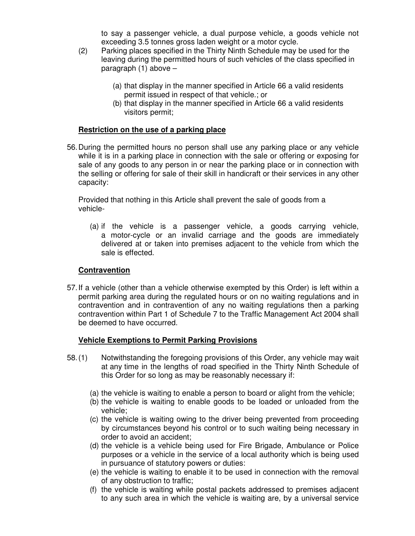to say a passenger vehicle, a dual purpose vehicle, a goods vehicle not exceeding 3.5 tonnes gross laden weight or a motor cycle.

- (2) Parking places specified in the Thirty Ninth Schedule may be used for the leaving during the permitted hours of such vehicles of the class specified in paragraph (1) above –
	- (a) that display in the manner specified in Article 66 a valid residents permit issued in respect of that vehicle.; or
	- (b) that display in the manner specified in Article 66 a valid residents visitors permit;

#### **Restriction on the use of a parking place**

56. During the permitted hours no person shall use any parking place or any vehicle while it is in a parking place in connection with the sale or offering or exposing for sale of any goods to any person in or near the parking place or in connection with the selling or offering for sale of their skill in handicraft or their services in any other capacity:

Provided that nothing in this Article shall prevent the sale of goods from a vehicle-

(a) if the vehicle is a passenger vehicle, a goods carrying vehicle, a motor-cycle or an invalid carriage and the goods are immediately delivered at or taken into premises adjacent to the vehicle from which the sale is effected.

#### **Contravention**

57. If a vehicle (other than a vehicle otherwise exempted by this Order) is left within a permit parking area during the regulated hours or on no waiting regulations and in contravention and in contravention of any no waiting regulations then a parking contravention within Part 1 of Schedule 7 to the Traffic Management Act 2004 shall be deemed to have occurred.

#### **Vehicle Exemptions to Permit Parking Provisions**

- 58. (1) Notwithstanding the foregoing provisions of this Order, any vehicle may wait at any time in the lengths of road specified in the Thirty Ninth Schedule of this Order for so long as may be reasonably necessary if:
	- (a) the vehicle is waiting to enable a person to board or alight from the vehicle;
	- (b) the vehicle is waiting to enable goods to be loaded or unloaded from the vehicle;
	- (c) the vehicle is waiting owing to the driver being prevented from proceeding by circumstances beyond his control or to such waiting being necessary in order to avoid an accident;
	- (d) the vehicle is a vehicle being used for Fire Brigade, Ambulance or Police purposes or a vehicle in the service of a local authority which is being used in pursuance of statutory powers or duties:
	- (e) the vehicle is waiting to enable it to be used in connection with the removal of any obstruction to traffic;
	- (f) the vehicle is waiting while postal packets addressed to premises adjacent to any such area in which the vehicle is waiting are, by a universal service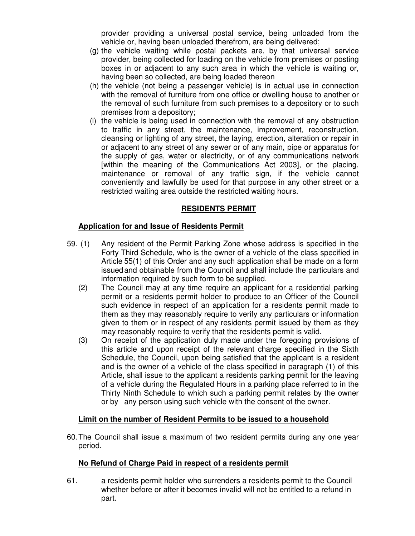provider providing a universal postal service, being unloaded from the vehicle or, having been unloaded therefrom, are being delivered;

- (g) the vehicle waiting while postal packets are, by that universal service provider, being collected for loading on the vehicle from premises or posting boxes in or adjacent to any such area in which the vehicle is waiting or, having been so collected, are being loaded thereon
- (h) the vehicle (not being a passenger vehicle) is in actual use in connection with the removal of furniture from one office or dwelling house to another or the removal of such furniture from such premises to a depository or to such premises from a depository;
- (i) the vehicle is being used in connection with the removal of any obstruction to traffic in any street, the maintenance, improvement, reconstruction, cleansing or lighting of any street, the laying, erection, alteration or repair in or adjacent to any street of any sewer or of any main, pipe or apparatus for the supply of gas, water or electricity, or of any communications network [within the meaning of the Communications Act 2003], or the placing, maintenance or removal of any traffic sign, if the vehicle cannot conveniently and lawfully be used for that purpose in any other street or a restricted waiting area outside the restricted waiting hours.

#### **RESIDENTS PERMIT**

#### **Application for and Issue of Residents Permit**

- 59. (1) Any resident of the Permit Parking Zone whose address is specified in the Forty Third Schedule, who is the owner of a vehicle of the class specified in Article 55(1) of this Order and any such application shall be made on a form issued and obtainable from the Council and shall include the particulars and information required by such form to be supplied.
	- (2) The Council may at any time require an applicant for a residential parking permit or a residents permit holder to produce to an Officer of the Council such evidence in respect of an application for a residents permit made to them as they may reasonably require to verify any particulars or information given to them or in respect of any residents permit issued by them as they may reasonably require to verify that the residents permit is valid.
	- (3) On receipt of the application duly made under the foregoing provisions of this article and upon receipt of the relevant charge specified in the Sixth Schedule, the Council, upon being satisfied that the applicant is a resident and is the owner of a vehicle of the class specified in paragraph (1) of this Article, shall issue to the applicant a residents parking permit for the leaving of a vehicle during the Regulated Hours in a parking place referred to in the Thirty Ninth Schedule to which such a parking permit relates by the owner or by any person using such vehicle with the consent of the owner.

#### **Limit on the number of Resident Permits to be issued to a household**

60. The Council shall issue a maximum of two resident permits during any one year period.

#### **No Refund of Charge Paid in respect of a residents permit**

61. a residents permit holder who surrenders a residents permit to the Council whether before or after it becomes invalid will not be entitled to a refund in part.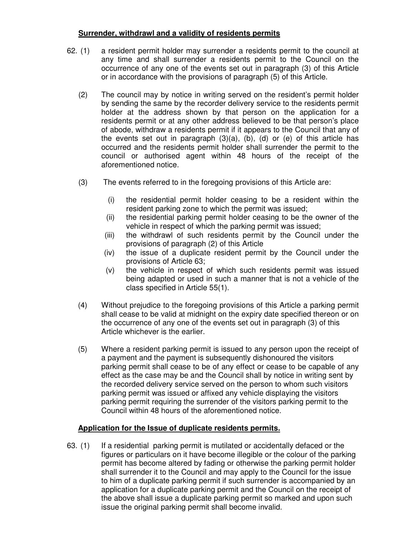#### **Surrender, withdrawl and a validity of residents permits**

- 62. (1) a resident permit holder may surrender a residents permit to the council at any time and shall surrender a residents permit to the Council on the occurrence of any one of the events set out in paragraph (3) of this Article or in accordance with the provisions of paragraph (5) of this Article.
	- (2) The council may by notice in writing served on the resident's permit holder by sending the same by the recorder delivery service to the residents permit holder at the address shown by that person on the application for a residents permit or at any other address believed to be that person's place of abode, withdraw a residents permit if it appears to the Council that any of the events set out in paragraph  $(3)(a)$ ,  $(b)$ ,  $(d)$  or  $(e)$  of this article has occurred and the residents permit holder shall surrender the permit to the council or authorised agent within 48 hours of the receipt of the aforementioned notice.
	- (3) The events referred to in the foregoing provisions of this Article are:
		- (i) the residential permit holder ceasing to be a resident within the resident parking zone to which the permit was issued;
		- (ii) the residential parking permit holder ceasing to be the owner of the vehicle in respect of which the parking permit was issued;
		- (iii) the withdrawl of such residents permit by the Council under the provisions of paragraph (2) of this Article
		- (iv) the issue of a duplicate resident permit by the Council under the provisions of Article 63;
		- (v) the vehicle in respect of which such residents permit was issued being adapted or used in such a manner that is not a vehicle of the class specified in Article 55(1).
	- (4) Without prejudice to the foregoing provisions of this Article a parking permit shall cease to be valid at midnight on the expiry date specified thereon or on the occurrence of any one of the events set out in paragraph (3) of this Article whichever is the earlier.
	- (5) Where a resident parking permit is issued to any person upon the receipt of a payment and the payment is subsequently dishonoured the visitors parking permit shall cease to be of any effect or cease to be capable of any effect as the case may be and the Council shall by notice in writing sent by the recorded delivery service served on the person to whom such visitors parking permit was issued or affixed any vehicle displaying the visitors parking permit requiring the surrender of the visitors parking permit to the Council within 48 hours of the aforementioned notice.

#### **Application for the Issue of duplicate residents permits.**

63. (1) If a residential parking permit is mutilated or accidentally defaced or the figures or particulars on it have become illegible or the colour of the parking permit has become altered by fading or otherwise the parking permit holder shall surrender it to the Council and may apply to the Council for the issue to him of a duplicate parking permit if such surrender is accompanied by an application for a duplicate parking permit and the Council on the receipt of the above shall issue a duplicate parking permit so marked and upon such issue the original parking permit shall become invalid.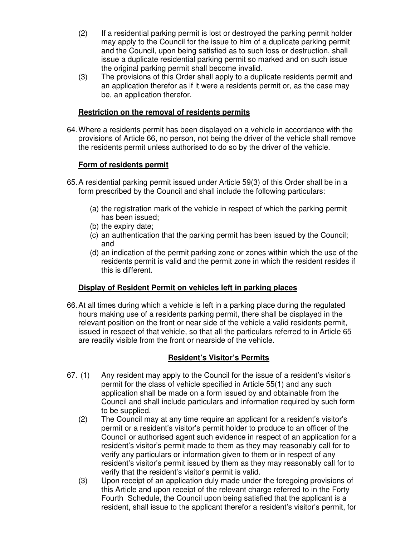- (2) If a residential parking permit is lost or destroyed the parking permit holder may apply to the Council for the issue to him of a duplicate parking permit and the Council, upon being satisfied as to such loss or destruction, shall issue a duplicate residential parking permit so marked and on such issue the original parking permit shall become invalid.
- (3) The provisions of this Order shall apply to a duplicate residents permit and an application therefor as if it were a residents permit or, as the case may be, an application therefor.

#### **Restriction on the removal of residents permits**

64. Where a residents permit has been displayed on a vehicle in accordance with the provisions of Article 66, no person, not being the driver of the vehicle shall remove the residents permit unless authorised to do so by the driver of the vehicle.

#### **Form of residents permit**

- 65. A residential parking permit issued under Article 59(3) of this Order shall be in a form prescribed by the Council and shall include the following particulars:
	- (a) the registration mark of the vehicle in respect of which the parking permit has been issued;
	- (b) the expiry date;
	- (c) an authentication that the parking permit has been issued by the Council; and
	- (d) an indication of the permit parking zone or zones within which the use of the residents permit is valid and the permit zone in which the resident resides if this is different.

#### **Display of Resident Permit on vehicles left in parking places**

66. At all times during which a vehicle is left in a parking place during the regulated hours making use of a residents parking permit, there shall be displayed in the relevant position on the front or near side of the vehicle a valid residents permit, issued in respect of that vehicle, so that all the particulars referred to in Article 65 are readily visible from the front or nearside of the vehicle.

#### **Resident's Visitor's Permits**

- 67. (1) Any resident may apply to the Council for the issue of a resident's visitor's permit for the class of vehicle specified in Article 55(1) and any such application shall be made on a form issued by and obtainable from the Council and shall include particulars and information required by such form to be supplied.
	- (2) The Council may at any time require an applicant for a resident's visitor's permit or a resident's visitor's permit holder to produce to an officer of the Council or authorised agent such evidence in respect of an application for a resident's visitor's permit made to them as they may reasonably call for to verify any particulars or information given to them or in respect of any resident's visitor's permit issued by them as they may reasonably call for to verify that the resident's visitor's permit is valid.
	- (3) Upon receipt of an application duly made under the foregoing provisions of this Article and upon receipt of the relevant charge referred to in the Forty Fourth Schedule, the Council upon being satisfied that the applicant is a resident, shall issue to the applicant therefor a resident's visitor's permit, for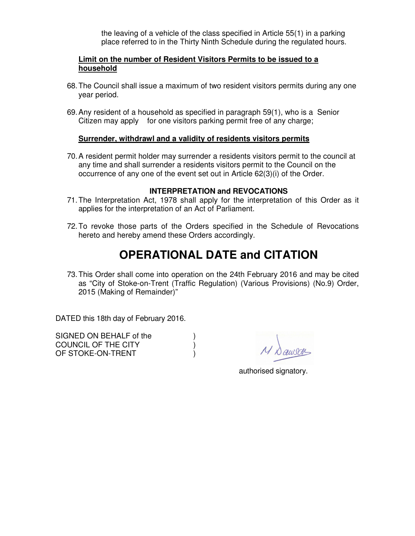the leaving of a vehicle of the class specified in Article 55(1) in a parking place referred to in the Thirty Ninth Schedule during the regulated hours.

#### **Limit on the number of Resident Visitors Permits to be issued to a household**

- 68. The Council shall issue a maximum of two resident visitors permits during any one year period.
- 69. Any resident of a household as specified in paragraph 59(1), who is a Senior Citizen may apply for one visitors parking permit free of any charge;

#### **Surrender, withdrawl and a validity of residents visitors permits**

70. A resident permit holder may surrender a residents visitors permit to the council at any time and shall surrender a residents visitors permit to the Council on the occurrence of any one of the event set out in Article 62(3)(i) of the Order.

#### **INTERPRETATION and REVOCATIONS**

- 71. The Interpretation Act, 1978 shall apply for the interpretation of this Order as it applies for the interpretation of an Act of Parliament.
- 72. To revoke those parts of the Orders specified in the Schedule of Revocations hereto and hereby amend these Orders accordingly.

### **OPERATIONAL DATE and CITATION**

73. This Order shall come into operation on the 24th February 2016 and may be cited as "City of Stoke-on-Trent (Traffic Regulation) (Various Provisions) (No.9) Order, 2015 (Making of Remainder)"

DATED this 18th day of February 2016.

| SIGNED ON BEHALF of the |  |
|-------------------------|--|
| COUNCIL OF THE CITY     |  |
| OF STOKE-ON-TRENT       |  |

authorised signatory.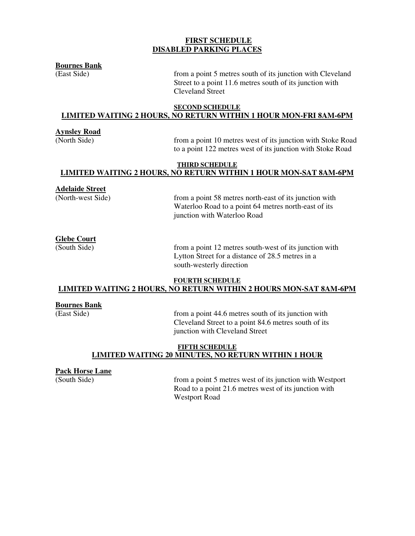#### **FIRST SCHEDULE DISABLED PARKING PLACES**

**Bournes Bank** 

(East Side) from a point 5 metres south of its junction with Cleveland Street to a point 11.6 metres south of its junction with Cleveland Street

#### **SECOND SCHEDULE LIMITED WAITING 2 HOURS, NO RETURN WITHIN 1 HOUR MON-FRI 8AM-6PM**

#### **Aynsley Road**

(North Side) from a point 10 metres west of its junction with Stoke Road to a point 122 metres west of its junction with Stoke Road

#### **THIRD SCHEDULE LIMITED WAITING 2 HOURS, NO RETURN WITHIN 1 HOUR MON-SAT 8AM-6PM**

#### **Adelaide Street**

(North-west Side) from a point 58 metres north-east of its junction with Waterloo Road to a point 64 metres north-east of its junction with Waterloo Road

#### **Glebe Court**

(South Side) from a point 12 metres south-west of its junction with Lytton Street for a distance of 28.5 metres in a south-westerly direction

#### **FOURTH SCHEDULE LIMITED WAITING 2 HOURS, NO RETURN WITHIN 2 HOURS MON-SAT 8AM-6PM**

#### **Bournes Bank**

(East Side) from a point 44.6 metres south of its junction with Cleveland Street to a point 84.6 metres south of its junction with Cleveland Street

#### **FIFTH SCHEDULE LIMITED WAITING 20 MINUTES, NO RETURN WITHIN 1 HOUR**

## **Pack Horse Lane**<br>(South Side)

from a point 5 metres west of its junction with Westport Road to a point 21.6 metres west of its junction with Westport Road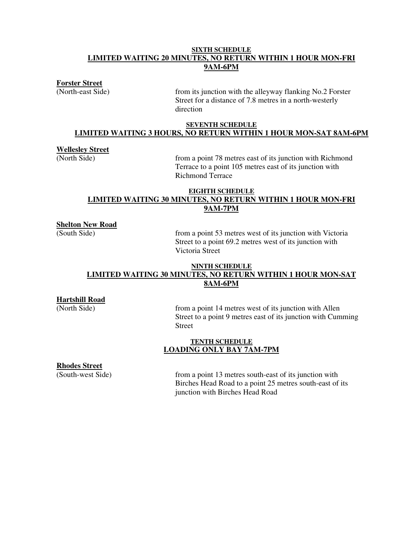#### **SIXTH SCHEDULE LIMITED WAITING 20 MINUTES, NO RETURN WITHIN 1 HOUR MON-FRI 9AM-6PM**

**Forster Street** 

(North-east Side) from its junction with the alleyway flanking No.2 Forster Street for a distance of 7.8 metres in a north-westerly direction

#### **SEVENTH SCHEDULE LIMITED WAITING 3 HOURS, NO RETURN WITHIN 1 HOUR MON-SAT 8AM-6PM**

#### **Wellesley Street**

(North Side) from a point 78 metres east of its junction with Richmond Terrace to a point 105 metres east of its junction with Richmond Terrace

#### **EIGHTH SCHEDULE LIMITED WAITING 30 MINUTES, NO RETURN WITHIN 1 HOUR MON-FRI 9AM-7PM**

**Shelton New Road** 

(South Side) from a point 53 metres west of its junction with Victoria Street to a point 69.2 metres west of its junction with Victoria Street

#### **NINTH SCHEDULE LIMITED WAITING 30 MINUTES, NO RETURN WITHIN 1 HOUR MON-SAT 8AM-6PM**

**Hartshill Road** 

(North Side) from a point 14 metres west of its junction with Allen Street to a point 9 metres east of its junction with Cumming Street

#### **TENTH SCHEDULE LOADING ONLY BAY 7AM-7PM**

**Rhodes Street** 

(South-west Side) from a point 13 metres south-east of its junction with Birches Head Road to a point 25 metres south-east of its junction with Birches Head Road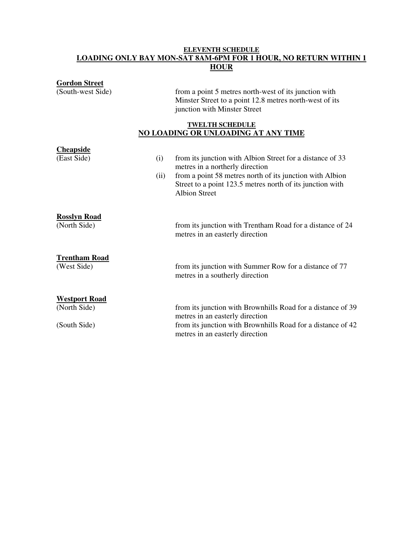#### **ELEVENTH SCHEDULE LOADING ONLY BAY MON-SAT 8AM-6PM FOR 1 HOUR, NO RETURN WITHIN 1 HOUR**

| <b>Gordon Street</b>                 |                                                                                                |
|--------------------------------------|------------------------------------------------------------------------------------------------|
| (South-west Side)                    | from a point 5 metres north-west of its junction with                                          |
|                                      | Minster Street to a point 12.8 metres north-west of its<br>junction with Minster Street        |
|                                      |                                                                                                |
|                                      | <b>TWELTH SCHEDULE</b><br><b>NO LOADING OR UNLOADING AT ANY TIME</b>                           |
| <b>Cheapside</b>                     |                                                                                                |
| (East Side)<br>(i)                   | from its junction with Albion Street for a distance of 33                                      |
|                                      | metres in a northerly direction                                                                |
| (ii)                                 | from a point 58 metres north of its junction with Albion                                       |
|                                      | Street to a point 123.5 metres north of its junction with<br><b>Albion Street</b>              |
|                                      |                                                                                                |
| <b>Rosslyn Road</b>                  |                                                                                                |
| (North Side)                         | from its junction with Trentham Road for a distance of 24<br>metres in an easterly direction   |
|                                      |                                                                                                |
| <b>Trentham Road</b>                 |                                                                                                |
| (West Side)                          | from its junction with Summer Row for a distance of 77                                         |
|                                      | metres in a southerly direction                                                                |
|                                      |                                                                                                |
| <b>Westport Road</b><br>(North Side) | from its junction with Brownhills Road for a distance of 39                                    |
|                                      | metres in an easterly direction                                                                |
| (South Side)                         | from its junction with Brownhills Road for a distance of 42<br>metres in an easterly direction |
|                                      |                                                                                                |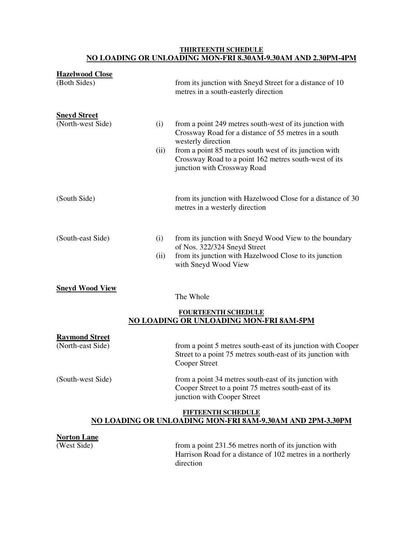#### **THIRTEENTH SCHEDULE NO LOADING OR UNLOADING MON-FRI 8.30AM-9.30AM AND 2.30PM-4PM**

| <b>Hazelwood Close</b>                     |      |                                                                                                                                                     |
|--------------------------------------------|------|-----------------------------------------------------------------------------------------------------------------------------------------------------|
| (Both Sides)                               |      | from its junction with Sneyd Street for a distance of 10<br>metres in a south-easterly direction                                                    |
| <b>Sneyd Street</b><br>(North-west Side)   | (i)  | from a point 249 metres south-west of its junction with                                                                                             |
|                                            |      | Crossway Road for a distance of 55 metres in a south<br>westerly direction                                                                          |
|                                            | (ii) | from a point 85 metres south west of its junction with<br>Crossway Road to a point 162 metres south-west of its<br>junction with Crossway Road      |
| (South Side)                               |      | from its junction with Hazelwood Close for a distance of 30<br>metres in a westerly direction                                                       |
| (South-east Side)                          | (i)  | from its junction with Sneyd Wood View to the boundary                                                                                              |
|                                            | (ii) | of Nos. 322/324 Sneyd Street<br>from its junction with Hazelwood Close to its junction<br>with Sneyd Wood View                                      |
| <b>Sneyd Wood View</b>                     |      | The Whole                                                                                                                                           |
|                                            |      | <b>FOURTEENTH SCHEDULE</b>                                                                                                                          |
|                                            |      | <b>NO LOADING OR UNLOADING MON-FRI 8AM-5PM</b>                                                                                                      |
| <b>Raymond Street</b><br>(North-east Side) |      | from a point 5 metres south-east of its junction with Cooper<br>Street to a point 75 metres south-east of its junction with<br><b>Cooper Street</b> |
| (South-west Side)                          |      | from a point 34 metres south-east of its junction with<br>Cooper Street to a point 75 metres south-east of its                                      |

#### **FIFTEENTH SCHEDULE NO LOADING OR UNLOADING MON-FRI 8AM-9.30AM AND 2PM-3.30PM**

junction with Cooper Street

# **Norton Lane**

from a point 231.56 metres north of its junction with Harrison Road for a distance of 102 metres in a northerly direction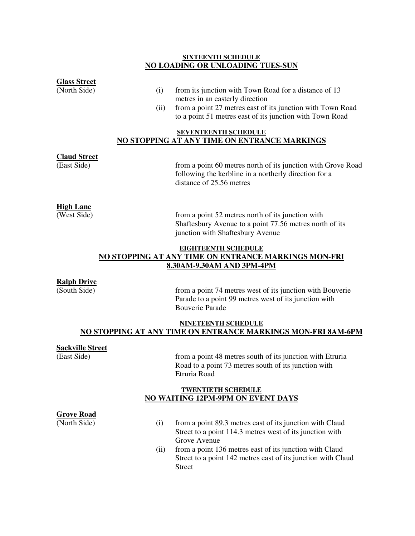#### **SIXTEENTH SCHEDULE NO LOADING OR UNLOADING TUES-SUN**

**Glass Street** 

- $(i)$  from its junction with Town Road for a distance of 13 metres in an easterly direction
- (ii) from a point 27 metres east of its junction with Town Road to a point 51 metres east of its junction with Town Road

#### **SEVENTEENTH SCHEDULE NO STOPPING AT ANY TIME ON ENTRANCE MARKINGS**

### **Claud Street**

from a point 60 metres north of its junction with Grove Road following the kerbline in a northerly direction for a distance of 25.56 metres

#### **High Lane**

(West Side) from a point 52 metres north of its junction with Shaftesbury Avenue to a point 77.56 metres north of its junction with Shaftesbury Avenue

#### **EIGHTEENTH SCHEDULE NO STOPPING AT ANY TIME ON ENTRANCE MARKINGS MON-FRI 8.30AM-9.30AM AND 3PM-4PM**

#### **Ralph Drive**

(South Side) from a point 74 metres west of its junction with Bouverie Parade to a point 99 metres west of its junction with Bouverie Parade

#### **NINETEENTH SCHEDULE NO STOPPING AT ANY TIME ON ENTRANCE MARKINGS MON-FRI 8AM-6PM**

#### **Sackville Street**

(East Side) from a point 48 metres south of its junction with Etruria Road to a point 73 metres south of its junction with Etruria Road

#### **TWENTIETH SCHEDULE NO WAITING 12PM-9PM ON EVENT DAYS**

#### **Grove Road**

- (North Side) (i) from a point 89.3 metres east of its junction with Claud Street to a point 114.3 metres west of its junction with Grove Avenue
	- (ii) from a point 136 metres east of its junction with Claud Street to a point 142 metres east of its junction with Claud Street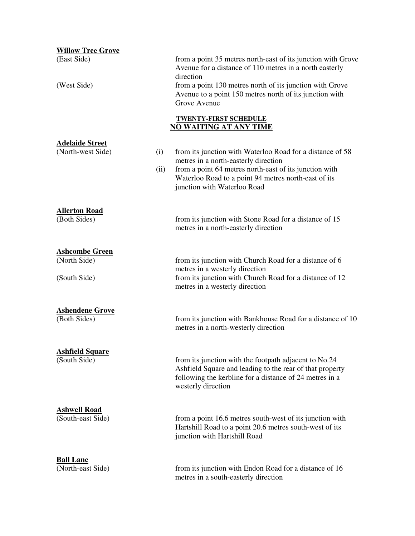| <b>Willow Tree Grove</b>                              |             |                                                                                                                                                                                                                                                                             |
|-------------------------------------------------------|-------------|-----------------------------------------------------------------------------------------------------------------------------------------------------------------------------------------------------------------------------------------------------------------------------|
| (East Side)<br>(West Side)                            |             | from a point 35 metres north-east of its junction with Grove<br>Avenue for a distance of 110 metres in a north easterly<br>direction<br>from a point 130 metres north of its junction with Grove<br>Avenue to a point 150 metres north of its junction with<br>Grove Avenue |
|                                                       |             | <b>TWENTY-FIRST SCHEDULE</b><br><b>NO WAITING AT ANY TIME</b>                                                                                                                                                                                                               |
| <b>Adelaide Street</b><br>(North-west Side)           | (i)<br>(ii) | from its junction with Waterloo Road for a distance of 58<br>metres in a north-easterly direction<br>from a point 64 metres north-east of its junction with<br>Waterloo Road to a point 94 metres north-east of its<br>junction with Waterloo Road                          |
| <b>Allerton Road</b><br>(Both Sides)                  |             | from its junction with Stone Road for a distance of 15<br>metres in a north-easterly direction                                                                                                                                                                              |
| <b>Ashcombe Green</b><br>(North Side)<br>(South Side) |             | from its junction with Church Road for a distance of 6<br>metres in a westerly direction<br>from its junction with Church Road for a distance of 12<br>metres in a westerly direction                                                                                       |
| <b>Ashendene Grove</b><br>(Both Sides)                |             | from its junction with Bankhouse Road for a distance of 10<br>metres in a north-westerly direction                                                                                                                                                                          |
| <b>Ashfield Square</b><br>(South Side)                |             | from its junction with the footpath adjacent to No.24<br>Ashfield Square and leading to the rear of that property<br>following the kerbline for a distance of 24 metres in a<br>westerly direction                                                                          |
| <b>Ashwell Road</b><br>(South-east Side)              |             | from a point 16.6 metres south-west of its junction with<br>Hartshill Road to a point 20.6 metres south-west of its<br>junction with Hartshill Road                                                                                                                         |
| <b>Ball Lane</b><br>(North-east Side)                 |             | from its junction with Endon Road for a distance of 16<br>metres in a south-easterly direction                                                                                                                                                                              |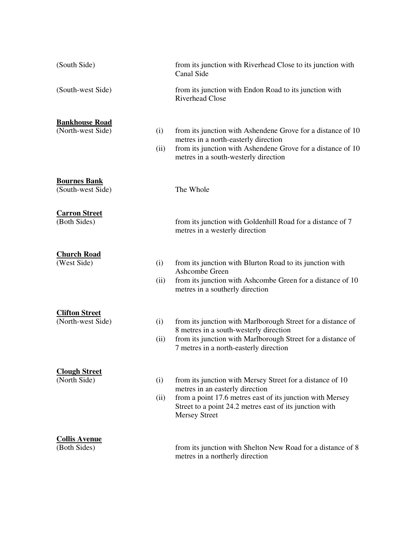| (South Side)                               |             | from its junction with Riverhead Close to its junction with<br>Canal Side                                                                                                                                                                    |
|--------------------------------------------|-------------|----------------------------------------------------------------------------------------------------------------------------------------------------------------------------------------------------------------------------------------------|
| (South-west Side)                          |             | from its junction with Endon Road to its junction with<br><b>Riverhead Close</b>                                                                                                                                                             |
| <b>Bankhouse Road</b><br>(North-west Side) | (i)<br>(ii) | from its junction with Ashendene Grove for a distance of 10<br>metres in a north-easterly direction<br>from its junction with Ashendene Grove for a distance of 10<br>metres in a south-westerly direction                                   |
| <b>Bournes Bank</b><br>(South-west Side)   |             | The Whole                                                                                                                                                                                                                                    |
| <b>Carron Street</b><br>(Both Sides)       |             | from its junction with Goldenhill Road for a distance of 7<br>metres in a westerly direction                                                                                                                                                 |
| <b>Church Road</b><br>(West Side)          | (i)<br>(ii) | from its junction with Blurton Road to its junction with<br>Ashcombe Green<br>from its junction with Ashcombe Green for a distance of 10<br>metres in a southerly direction                                                                  |
| <b>Clifton Street</b><br>(North-west Side) | (i)<br>(ii) | from its junction with Marlborough Street for a distance of<br>8 metres in a south-westerly direction<br>from its junction with Marlborough Street for a distance of<br>7 metres in a north-easterly direction                               |
| <b>Clough Street</b><br>(North Side)       | (i)<br>(ii) | from its junction with Mersey Street for a distance of 10<br>metres in an easterly direction<br>from a point 17.6 metres east of its junction with Mersey<br>Street to a point 24.2 metres east of its junction with<br><b>Mersey Street</b> |
| <b>Collis Avenue</b><br>(Both Sides)       |             | from its junction with Shelton New Road for a distance of 8<br>metres in a northerly direction                                                                                                                                               |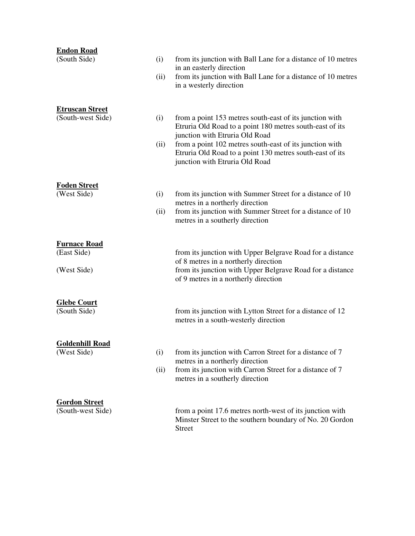| <b>Endon Road</b>                     |      |                                                                                                                      |
|---------------------------------------|------|----------------------------------------------------------------------------------------------------------------------|
| (South Side)                          | (i)  | from its junction with Ball Lane for a distance of 10 metres                                                         |
|                                       |      | in an easterly direction<br>from its junction with Ball Lane for a distance of 10 metres                             |
|                                       | (ii) | in a westerly direction                                                                                              |
|                                       |      |                                                                                                                      |
| <b>Etruscan Street</b>                |      |                                                                                                                      |
| (South-west Side)                     | (i)  | from a point 153 metres south-east of its junction with                                                              |
|                                       |      | Etruria Old Road to a point 180 metres south-east of its                                                             |
|                                       |      | junction with Etruria Old Road                                                                                       |
|                                       | (ii) | from a point 102 metres south-east of its junction with<br>Etruria Old Road to a point 130 metres south-east of its  |
|                                       |      | junction with Etruria Old Road                                                                                       |
|                                       |      |                                                                                                                      |
| <u>Foden Street</u>                   |      |                                                                                                                      |
| (West Side)                           | (i)  | from its junction with Summer Street for a distance of 10                                                            |
|                                       |      | metres in a northerly direction                                                                                      |
|                                       | (ii) | from its junction with Summer Street for a distance of 10                                                            |
|                                       |      | metres in a southerly direction                                                                                      |
|                                       |      |                                                                                                                      |
| <b>Furnace Road</b><br>(East Side)    |      | from its junction with Upper Belgrave Road for a distance                                                            |
|                                       |      | of 8 metres in a northerly direction                                                                                 |
| (West Side)                           |      | from its junction with Upper Belgrave Road for a distance                                                            |
|                                       |      | of 9 metres in a northerly direction                                                                                 |
|                                       |      |                                                                                                                      |
| <b>Glebe Court</b>                    |      |                                                                                                                      |
| (South Side)                          |      | from its junction with Lytton Street for a distance of 12                                                            |
|                                       |      | metres in a south-westerly direction                                                                                 |
|                                       |      |                                                                                                                      |
| <b>Goldenhill Road</b><br>(West Side) | (i)  | from its junction with Carron Street for a distance of 7                                                             |
|                                       |      | metres in a northerly direction                                                                                      |
|                                       | (ii) | from its junction with Carron Street for a distance of 7                                                             |
|                                       |      | metres in a southerly direction                                                                                      |
|                                       |      |                                                                                                                      |
| <b>Gordon Street</b>                  |      |                                                                                                                      |
| (South-west Side)                     |      | from a point 17.6 metres north-west of its junction with<br>Minster Street to the southern boundary of No. 20 Gordon |
|                                       |      | <b>Street</b>                                                                                                        |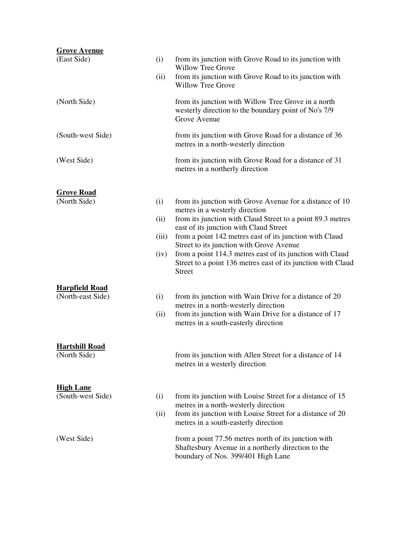| <b>Grove Avenue</b>                   |       |                                                                                                                                                  |
|---------------------------------------|-------|--------------------------------------------------------------------------------------------------------------------------------------------------|
| (East Side)                           | (i)   | from its junction with Grove Road to its junction with<br><b>Willow Tree Grove</b>                                                               |
|                                       | (ii)  | from its junction with Grove Road to its junction with<br><b>Willow Tree Grove</b>                                                               |
| (North Side)                          |       | from its junction with Willow Tree Grove in a north<br>westerly direction to the boundary point of No's 7/9<br>Grove Avenue                      |
| (South-west Side)                     |       | from its junction with Grove Road for a distance of 36<br>metres in a north-westerly direction                                                   |
| (West Side)                           |       | from its junction with Grove Road for a distance of 31<br>metres in a northerly direction                                                        |
| <b>Grove Road</b>                     |       |                                                                                                                                                  |
| (North Side)                          | (i)   | from its junction with Grove Avenue for a distance of 10<br>metres in a westerly direction                                                       |
|                                       | (ii)  | from its junction with Claud Street to a point 89.3 metres<br>east of its junction with Claud Street                                             |
|                                       | (iii) | from a point 142 metres east of its junction with Claud<br>Street to its junction with Grove Avenue                                              |
|                                       | (iv)  | from a point 114.3 metres east of its junction with Claud<br>Street to a point 136 metres east of its junction with Claud<br><b>Street</b>       |
| <b>Harpfield Road</b>                 |       |                                                                                                                                                  |
| (North-east Side)                     | (i)   | from its junction with Wain Drive for a distance of 20<br>metres in a north-westerly direction                                                   |
|                                       | (ii)  | from its junction with Wain Drive for a distance of 17<br>metres in a south-easterly direction                                                   |
| <b>Hartshill Road</b>                 |       |                                                                                                                                                  |
| (North Side)                          |       | from its junction with Allen Street for a distance of 14<br>metres in a westerly direction                                                       |
| <b>High Lane</b><br>(South-west Side) | (i)   | from its junction with Louise Street for a distance of 15                                                                                        |
|                                       |       | metres in a north-westerly direction                                                                                                             |
|                                       | (ii)  | from its junction with Louise Street for a distance of 20<br>metres in a south-easterly direction                                                |
| (West Side)                           |       | from a point 77.56 metres north of its junction with<br>Shaftesbury Avenue in a northerly direction to the<br>boundary of Nos. 399/401 High Lane |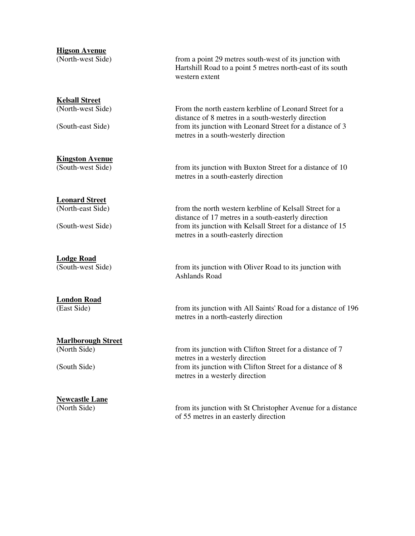#### **Higson Avenue**

(North-west Side) from a point 29 metres south-west of its junction with Hartshill Road to a point 5 metres north-east of its south western extent

> From the north eastern kerbline of Leonard Street for a distance of 8 metres in a south-westerly direction

metres in a south-westerly direction

metres in a south-easterly direction

metres in a south-easterly direction

**Kelsall Street**<br>(North-west Side)

(South-east Side) from its junction with Leonard Street for a distance of 3

**Kingston Avenue**  (South-west Side) from its junction with Buxton Street for a distance of 10

**Leonard Street**  (North-east Side) from the north western kerbline of Kelsall Street for a

(South-west Side) from its junction with Kelsall Street for a distance of 15

**Lodge Road** 

#### **London Road**

#### **Marlborough Street**

### **Newcastle Lane**

(North Side) from its junction with St Christopher Avenue for a distance of 55 metres in an easterly direction

(South-west Side) from its junction with Oliver Road to its junction with Ashlands Road

distance of 17 metres in a south-easterly direction

(East Side) from its junction with All Saints' Road for a distance of 196 metres in a north-easterly direction

(North Side) from its junction with Clifton Street for a distance of 7 metres in a westerly direction (South Side) from its junction with Clifton Street for a distance of 8 metres in a westerly direction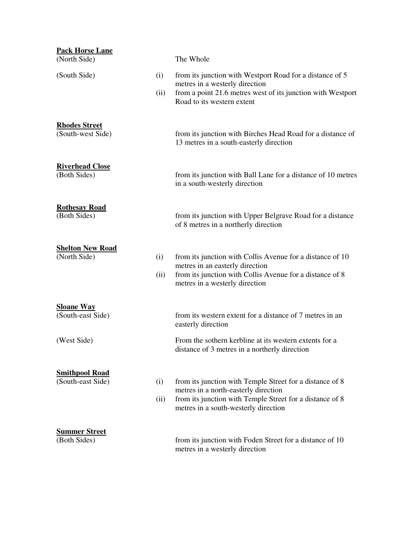| <b>Pack Horse Lane</b><br>(North Side)     |             | The Whole                                                                                                                                                                                            |
|--------------------------------------------|-------------|------------------------------------------------------------------------------------------------------------------------------------------------------------------------------------------------------|
| (South Side)                               | (i)<br>(ii) | from its junction with Westport Road for a distance of 5<br>metres in a westerly direction<br>from a point 21.6 metres west of its junction with Westport<br>Road to its western extent              |
| <b>Rhodes Street</b><br>(South-west Side)  |             | from its junction with Birches Head Road for a distance of<br>13 metres in a south-easterly direction                                                                                                |
| <b>Riverhead Close</b><br>(Both Sides)     |             | from its junction with Ball Lane for a distance of 10 metres<br>in a south-westerly direction                                                                                                        |
| <b>Rothesay Road</b><br>(Both Sides)       |             | from its junction with Upper Belgrave Road for a distance<br>of 8 metres in a northerly direction                                                                                                    |
| <b>Shelton New Road</b><br>(North Side)    | (i)<br>(ii) | from its junction with Collis Avenue for a distance of 10<br>metres in an easterly direction<br>from its junction with Collis Avenue for a distance of 8<br>metres in a westerly direction           |
| <b>Sloane Way</b><br>(South-east Side)     |             | from its western extent for a distance of 7 metres in an<br>easterly direction                                                                                                                       |
| (West Side)                                |             | From the sothern kerbline at its western extents for a<br>distance of 3 metres in a northerly direction                                                                                              |
| <b>Smithpool Road</b><br>(South-east Side) | (i)<br>(ii) | from its junction with Temple Street for a distance of 8<br>metres in a north-easterly direction<br>from its junction with Temple Street for a distance of 8<br>metres in a south-westerly direction |
| <b>Summer Street</b><br>(Both Sides)       |             | from its junction with Foden Street for a distance of 10<br>metres in a westerly direction                                                                                                           |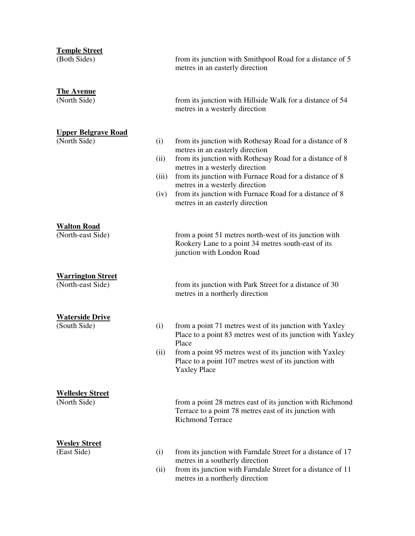| <b>Temple Street</b>                          |       |                                                                                                                                                |
|-----------------------------------------------|-------|------------------------------------------------------------------------------------------------------------------------------------------------|
| (Both Sides)                                  |       | from its junction with Smithpool Road for a distance of 5<br>metres in an easterly direction                                                   |
| <b>The Avenue</b>                             |       |                                                                                                                                                |
| (North Side)                                  |       | from its junction with Hillside Walk for a distance of 54<br>metres in a westerly direction                                                    |
| <b>Upper Belgrave Road</b>                    |       |                                                                                                                                                |
| (North Side)                                  | (i)   | from its junction with Rothesay Road for a distance of 8<br>metres in an easterly direction                                                    |
|                                               | (ii)  | from its junction with Rothesay Road for a distance of 8<br>metres in a westerly direction                                                     |
|                                               | (iii) | from its junction with Furnace Road for a distance of 8                                                                                        |
|                                               | (iv)  | metres in a westerly direction<br>from its junction with Furnace Road for a distance of 8<br>metres in an easterly direction                   |
|                                               |       |                                                                                                                                                |
| <b>Walton Road</b><br>(North-east Side)       |       | from a point 51 metres north-west of its junction with<br>Rookery Lane to a point 34 metres south-east of its<br>junction with London Road     |
|                                               |       |                                                                                                                                                |
| <b>Warrington Street</b><br>(North-east Side) |       | from its junction with Park Street for a distance of 30<br>metres in a northerly direction                                                     |
|                                               |       |                                                                                                                                                |
| <b>Waterside Drive</b><br>(South Side)        | (i)   | from a point 71 metres west of its junction with Yaxley<br>Place to a point 83 metres west of its junction with Yaxley<br>Place                |
|                                               | (ii)  | from a point 95 metres west of its junction with Yaxley<br>Place to a point 107 metres west of its junction with<br><b>Yaxley Place</b>        |
|                                               |       |                                                                                                                                                |
| <b>Wellesley Street</b><br>(North Side)       |       | from a point 28 metres east of its junction with Richmond<br>Terrace to a point 78 metres east of its junction with<br><b>Richmond Terrace</b> |
| <b>Wesley Street</b>                          |       |                                                                                                                                                |
| (East Side)                                   | (i)   | from its junction with Farndale Street for a distance of 17<br>metres in a southerly direction                                                 |
|                                               | (ii)  | from its junction with Farndale Street for a distance of 11<br>metres in a northerly direction                                                 |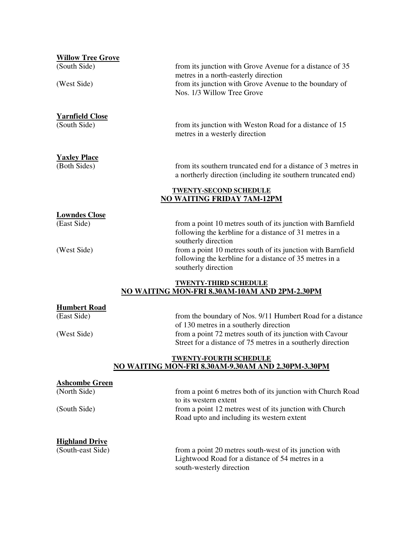| <b>Willow Tree Grove</b>                          |                                                                                                                                                                                                                                 |
|---------------------------------------------------|---------------------------------------------------------------------------------------------------------------------------------------------------------------------------------------------------------------------------------|
| (South Side)<br>(West Side)                       | from its junction with Grove Avenue for a distance of 35<br>metres in a north-easterly direction<br>from its junction with Grove Avenue to the boundary of<br>Nos. 1/3 Willow Tree Grove                                        |
| <b>Yarnfield Close</b><br>(South Side)            | from its junction with Weston Road for a distance of 15<br>metres in a westerly direction                                                                                                                                       |
| <b>Yaxley Place</b><br>(Both Sides)               | from its southern truncated end for a distance of 3 metres in<br>a northerly direction (including ite southern truncated end)                                                                                                   |
|                                                   | <b>TWENTY-SECOND SCHEDULE</b><br><b>NO WAITING FRIDAY 7AM-12PM</b>                                                                                                                                                              |
| <b>Lowndes Close</b><br>(East Side)               | from a point 10 metres south of its junction with Barnfield<br>following the kerbline for a distance of 31 metres in a<br>southerly direction                                                                                   |
| (West Side)                                       | from a point 10 metres south of its junction with Barnfield<br>following the kerbline for a distance of 35 metres in a<br>southerly direction                                                                                   |
|                                                   | <b>TWENTY-THIRD SCHEDULE</b><br>NO WAITING MON-FRI 8.30AM-10AM AND 2PM-2.30PM                                                                                                                                                   |
| <b>Humbert Road</b><br>(East Side)<br>(West Side) | from the boundary of Nos. 9/11 Humbert Road for a distance<br>of 130 metres in a southerly direction<br>from a point 72 metres south of its junction with Cavour<br>Street for a distance of 75 metres in a southerly direction |
|                                                   | <b>TWENTY-FOURTH SCHEDULE</b><br>NO WAITING MON-FRI 8.30AM-9.30AM AND 2.30PM-3.30PM                                                                                                                                             |
| <b>Ashcombe Green</b>                             |                                                                                                                                                                                                                                 |
| (North Side)                                      | from a point 6 metres both of its junction with Church Road<br>to its western extent                                                                                                                                            |
| (South Side)                                      | from a point 12 metres west of its junction with Church<br>Road upto and including its western extent                                                                                                                           |
| <b>Highland Drive</b><br>(South-east Side)        | from a point 20 metres south-west of its junction with<br>Lightwood Road for a distance of 54 metres in a<br>south-westerly direction                                                                                           |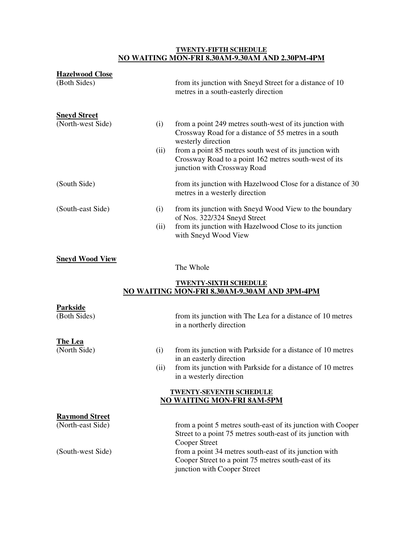#### **TWENTY-FIFTH SCHEDULE NO WAITING MON-FRI 8.30AM-9.30AM AND 2.30PM-4PM**

| <b>Hazelwood Close</b><br>(Both Sides)     |             | from its junction with Sneyd Street for a distance of 10<br>metres in a south-easterly direction                                                                                                                                                                                        |
|--------------------------------------------|-------------|-----------------------------------------------------------------------------------------------------------------------------------------------------------------------------------------------------------------------------------------------------------------------------------------|
| <b>Sneyd Street</b><br>(North-west Side)   | (i)<br>(ii) | from a point 249 metres south-west of its junction with<br>Crossway Road for a distance of 55 metres in a south<br>westerly direction<br>from a point 85 metres south west of its junction with<br>Crossway Road to a point 162 metres south-west of its<br>junction with Crossway Road |
| (South Side)                               |             | from its junction with Hazelwood Close for a distance of 30<br>metres in a westerly direction                                                                                                                                                                                           |
| (South-east Side)                          | (i)<br>(ii) | from its junction with Sneyd Wood View to the boundary<br>of Nos. 322/324 Sneyd Street<br>from its junction with Hazelwood Close to its junction<br>with Sneyd Wood View                                                                                                                |
| <b>Sneyd Wood View</b>                     |             | The Whole                                                                                                                                                                                                                                                                               |
|                                            |             | <b>TWENTY-SIXTH SCHEDULE</b><br>NO WAITING MON-FRI 8.30AM-9.30AM AND 3PM-4PM                                                                                                                                                                                                            |
| <b>Parkside</b><br>(Both Sides)            |             | from its junction with The Lea for a distance of 10 metres<br>in a northerly direction                                                                                                                                                                                                  |
| <b>The Lea</b><br>(North Side)             | (i)<br>(ii) | from its junction with Parkside for a distance of 10 metres<br>in an easterly direction<br>from its junction with Parkside for a distance of 10 metres<br>in a westerly direction<br><b>TWENTY-SEVENTH SCHEDULE</b><br><b>NO WAITING MON-FRI 8AM-5PM</b>                                |
| <b>Raymond Street</b><br>(North-east Side) |             | from a point 5 metres south-east of its junction with Cooper<br>Street to a point 75 metres south-east of its junction with<br><b>Cooper Street</b>                                                                                                                                     |
| (South-west Side)                          |             | from a point 34 metres south-east of its junction with<br>Cooper Street to a point 75 metres south-east of its<br>junction with Cooper Street                                                                                                                                           |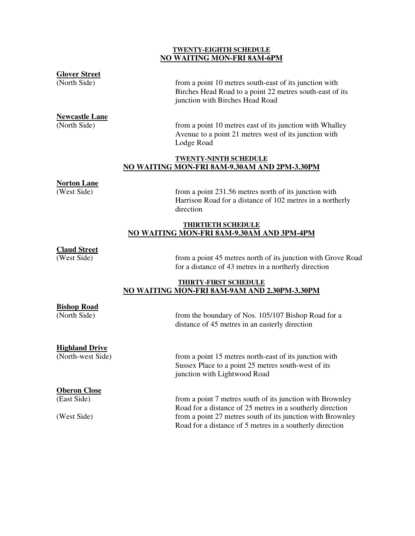#### **TWENTY-EIGHTH SCHEDULE NO WAITING MON-FRI 8AM-6PM**

#### **Glover Street**

(North Side) from a point 10 metres south-east of its junction with Birches Head Road to a point 22 metres south-east of its junction with Birches Head Road

**Newcastle Lane** 

(North Side) from a point 10 metres east of its junction with Whalley Avenue to a point 21 metres west of its junction with Lodge Road

#### **TWENTY-NINTH SCHEDULE NO WAITING MON-FRI 8AM-9.30AM AND 2PM-3.30PM**

### **Norton Lane**

from a point 231.56 metres north of its junction with Harrison Road for a distance of 102 metres in a northerly direction

#### **THIRTIETH SCHEDULE NO WAITING MON-FRI 8AM-9.30AM AND 3PM-4PM**

#### **Claud Street**

(West Side) from a point 45 metres north of its junction with Grove Road for a distance of 43 metres in a northerly direction

#### **THIRTY-FIRST SCHEDULE NO WAITING MON-FRI 8AM-9AM AND 2.30PM-3.30PM**

| <b>Bishop Road</b>    |                                                                                                                                               |
|-----------------------|-----------------------------------------------------------------------------------------------------------------------------------------------|
| (North Side)          | from the boundary of Nos. 105/107 Bishop Road for a<br>distance of 45 metres in an easterly direction                                         |
| <b>Highland Drive</b> |                                                                                                                                               |
| (North-west Side)     | from a point 15 metres north-east of its junction with<br>Sussex Place to a point 25 metres south-west of its<br>junction with Lightwood Road |
| <b>Oberon Close</b>   |                                                                                                                                               |
| (East Side)           | from a point 7 metres south of its junction with Brownley<br>Road for a distance of 25 metres in a southerly direction                        |
| (West Side)           | from a point 27 metres south of its junction with Brownley<br>Road for a distance of 5 metres in a southerly direction                        |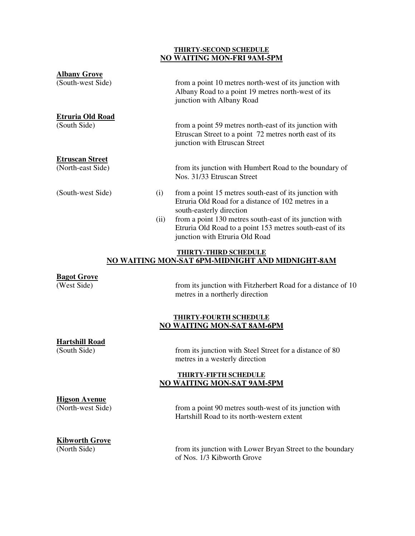#### **THIRTY-SECOND SCHEDULE NO WAITING MON-FRI 9AM-5PM**

| <b>Albany Grove</b>                         |      |                                                                                                                                                       |
|---------------------------------------------|------|-------------------------------------------------------------------------------------------------------------------------------------------------------|
| (South-west Side)                           |      | from a point 10 metres north-west of its junction with<br>Albany Road to a point 19 metres north-west of its<br>junction with Albany Road             |
| <b>Etruria Old Road</b><br>(South Side)     |      | from a point 59 metres north-east of its junction with<br>Etruscan Street to a point 72 metres north east of its<br>junction with Etruscan Street     |
| <b>Etruscan Street</b><br>(North-east Side) |      | from its junction with Humbert Road to the boundary of<br>Nos. 31/33 Etruscan Street                                                                  |
| (South-west Side)                           |      | from a point 15 metres south-east of its junction with<br>Etruria Old Road for a distance of 102 metres in a<br>south-easterly direction              |
|                                             | (ii) | from a point 130 metres south-east of its junction with<br>Etruria Old Road to a point 153 metres south-east of its<br>junction with Etruria Old Road |
|                                             |      | THIDTV THIDD SCHEDHI E                                                                                                                                |

#### **THIRTY-THIRD SCHEDULE NO WAITING MON-SAT 6PM-MIDNIGHT AND MIDNIGHT-8AM**

### **Bagot Grove**

from its junction with Fitzherbert Road for a distance of 10 metres in a northerly direction

#### **THIRTY-FOURTH SCHEDULE NO WAITING MON-SAT 8AM-6PM**

# **Hartshill Road**

from its junction with Steel Street for a distance of 80 metres in a westerly direction

#### **THIRTY-FIFTH SCHEDULE NO WAITING MON-SAT 9AM-5PM**

#### **Higson Avenue**

(North-west Side) from a point 90 metres south-west of its junction with Hartshill Road to its north-western extent

### **Kibworth Grove**

(North Side) from its junction with Lower Bryan Street to the boundary of Nos. 1/3 Kibworth Grove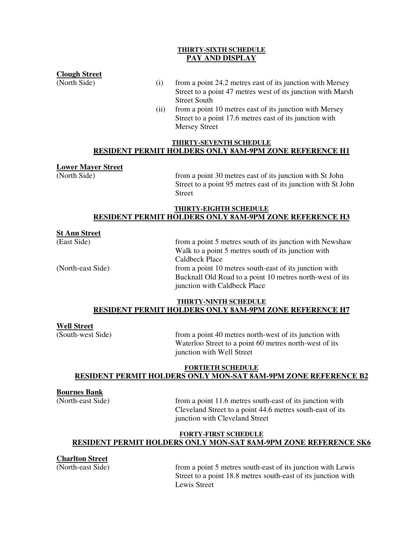#### **THIRTY-SIXTH SCHEDULE PAY AND DISPLAY**

#### **Clough Street**

- (North Side) (i) from a point 24.2 metres east of its junction with Mersey Street to a point 47 metres west of its junction with Marsh Street South
	- (ii) from a point 10 metres east of its junction with Mersey Street to a point 17.6 metres east of its junction with Mersey Street

#### **THIRTY-SEVENTH SCHEDULE RESIDENT PERMIT HOLDERS ONLY 8AM-9PM ZONE REFERENCE H1**

#### **Lower Mayer Street**

(North Side) from a point 30 metres east of its junction with St John Street to a point 95 metres east of its junction with St John Street

#### **THIRTY-EIGHTH SCHEDULE RESIDENT PERMIT HOLDERS ONLY 8AM-9PM ZONE REFERENCE H3**

#### **St Ann Street**

(East Side) from a point 5 metres south of its junction with Newshaw Walk to a point 5 metres south of its junction with Caldbeck Place (North-east Side) from a point 10 metres south-east of its junction with Bucknall Old Road to a point 10 metres north-west of its junction with Caldbeck Place

#### **THIRTY-NINTH SCHEDULE RESIDENT PERMIT HOLDERS ONLY 8AM-9PM ZONE REFERENCE H7**

#### **Well Street**

(South-west Side) from a point 40 metres north-west of its junction with Waterloo Street to a point 60 metres north-west of its junction with Well Street

#### **FORTIETH SCHEDULE RESIDENT PERMIT HOLDERS ONLY MON-SAT 8AM-9PM ZONE REFERENCE B2**

#### **Bournes Bank**

(North-east Side) from a point 11.6 metres south-east of its junction with Cleveland Street to a point 44.6 metres south-east of its junction with Cleveland Street

#### **FORTY-FIRST SCHEDULE RESIDENT PERMIT HOLDERS ONLY MON-SAT 8AM-9PM ZONE REFERENCE SK6**

#### **Charlton Street**

(North-east Side) from a point 5 metres south-east of its junction with Lewis Street to a point 18.8 metres south-east of its junction with Lewis Street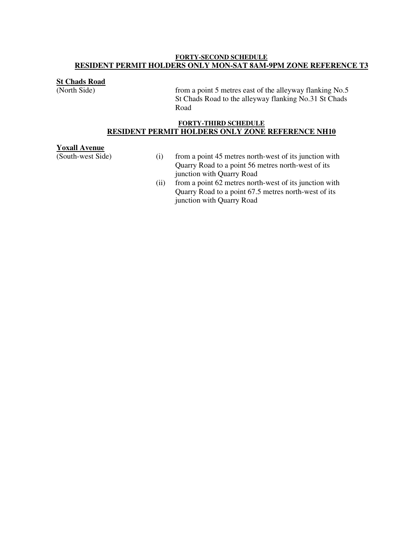#### **FORTY-SECOND SCHEDULE RESIDENT PERMIT HOLDERS ONLY MON-SAT 8AM-9PM ZONE REFERENCE T3**

### **St Chads Road** (North Side)

from a point 5 metres east of the alleyway flanking No.5 St Chads Road to the alleyway flanking No.31 St Chads Road

#### **FORTY-THIRD SCHEDULE RESIDENT PERMIT HOLDERS ONLY ZONE REFERENCE NH10**

**Yoxall Avenue**<br>(South-west Side)

- $(i)$  from a point 45 metres north-west of its junction with Quarry Road to a point 56 metres north-west of its junction with Quarry Road
- (ii) from a point 62 metres north-west of its junction with Quarry Road to a point 67.5 metres north-west of its junction with Quarry Road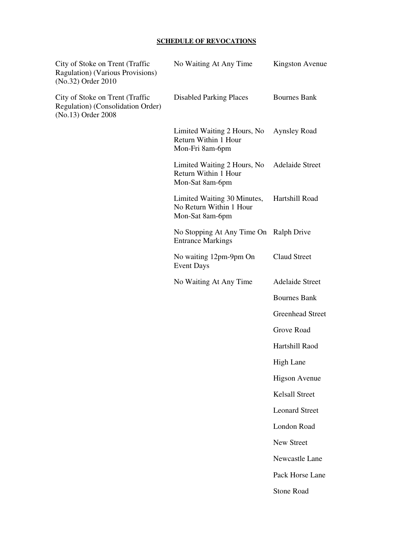#### **SCHEDULE OF REVOCATIONS**

| City of Stoke on Trent (Traffic<br>Ragulation) (Various Provisions)<br>(No.32) Order 2010  | No Waiting At Any Time                                                    | Kingston Avenue         |
|--------------------------------------------------------------------------------------------|---------------------------------------------------------------------------|-------------------------|
| City of Stoke on Trent (Traffic<br>Regulation) (Consolidation Order)<br>(No.13) Order 2008 | <b>Disabled Parking Places</b>                                            | <b>Bournes Bank</b>     |
|                                                                                            | Limited Waiting 2 Hours, No<br>Return Within 1 Hour<br>Mon-Fri 8am-6pm    | <b>Aynsley Road</b>     |
|                                                                                            | Limited Waiting 2 Hours, No<br>Return Within 1 Hour<br>Mon-Sat 8am-6pm    | <b>Adelaide Street</b>  |
|                                                                                            | Limited Waiting 30 Minutes,<br>No Return Within 1 Hour<br>Mon-Sat 8am-6pm | Hartshill Road          |
|                                                                                            | No Stopping At Any Time On Ralph Drive<br><b>Entrance Markings</b>        |                         |
|                                                                                            | No waiting 12pm-9pm On<br><b>Event Days</b>                               | <b>Claud Street</b>     |
|                                                                                            | No Waiting At Any Time                                                    | <b>Adelaide Street</b>  |
|                                                                                            |                                                                           | <b>Bournes Bank</b>     |
|                                                                                            |                                                                           | <b>Greenhead Street</b> |
|                                                                                            |                                                                           | Grove Road              |
|                                                                                            |                                                                           | Hartshill Raod          |
|                                                                                            |                                                                           | High Lane               |
|                                                                                            |                                                                           | <b>Higson Avenue</b>    |
|                                                                                            |                                                                           | <b>Kelsall Street</b>   |
|                                                                                            |                                                                           | <b>Leonard Street</b>   |
|                                                                                            |                                                                           | London Road             |
|                                                                                            |                                                                           | <b>New Street</b>       |
|                                                                                            |                                                                           | Newcastle Lane          |
|                                                                                            |                                                                           | Pack Horse Lane         |
|                                                                                            |                                                                           | <b>Stone Road</b>       |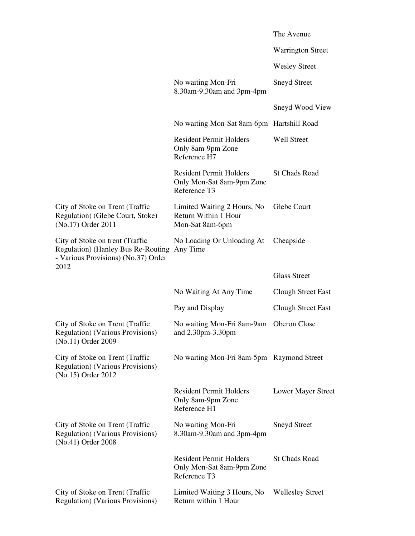|                                                                                                                      |                                                                             | The Avenue                |
|----------------------------------------------------------------------------------------------------------------------|-----------------------------------------------------------------------------|---------------------------|
|                                                                                                                      |                                                                             | <b>Warrington Street</b>  |
|                                                                                                                      |                                                                             | <b>Wesley Street</b>      |
|                                                                                                                      | No waiting Mon-Fri<br>8.30am-9.30am and 3pm-4pm                             | <b>Sneyd Street</b>       |
|                                                                                                                      |                                                                             | Sneyd Wood View           |
|                                                                                                                      | No waiting Mon-Sat 8am-6pm Hartshill Road                                   |                           |
|                                                                                                                      | <b>Resident Permit Holders</b><br>Only 8am-9pm Zone<br>Reference H7         | <b>Well Street</b>        |
|                                                                                                                      | <b>Resident Permit Holders</b><br>Only Mon-Sat 8am-9pm Zone<br>Reference T3 | <b>St Chads Road</b>      |
| City of Stoke on Trent (Traffic<br>Regulation) (Glebe Court, Stoke)<br>(No.17) Order 2011                            | Limited Waiting 2 Hours, No<br>Return Within 1 Hour<br>Mon-Sat 8am-6pm      | Glebe Court               |
| City of Stoke on trent (Traffic<br>Regulation) (Hanley Bus Re-Routing<br>- Various Provisions) (No.37) Order<br>2012 | No Loading Or Unloading At<br>Any Time                                      | Cheapside                 |
|                                                                                                                      |                                                                             |                           |
|                                                                                                                      |                                                                             | <b>Glass Street</b>       |
|                                                                                                                      | No Waiting At Any Time                                                      | <b>Clough Street East</b> |
|                                                                                                                      | Pay and Display                                                             | <b>Clough Street East</b> |
| City of Stoke on Trent (Traffic<br>Regulation) (Various Provisions)<br>(No.11) Order 2009                            | No waiting Mon-Fri 8am-9am<br>and 2.30pm-3.30pm                             | Oberon Close              |
| City of Stoke on Trent (Traffic<br>Regulation) (Various Provisions)<br>(No.15) Order 2012                            | No waiting Mon-Fri 8am-5pm Raymond Street                                   |                           |
|                                                                                                                      | <b>Resident Permit Holders</b><br>Only 8am-9pm Zone<br>Reference H1         | Lower Mayer Street        |
| City of Stoke on Trent (Traffic<br>Regulation) (Various Provisions)<br>(No.41) Order 2008                            | No waiting Mon-Fri<br>8.30am-9.30am and 3pm-4pm                             | <b>Sneyd Street</b>       |
|                                                                                                                      | <b>Resident Permit Holders</b><br>Only Mon-Sat 8am-9pm Zone<br>Reference T3 | <b>St Chads Road</b>      |